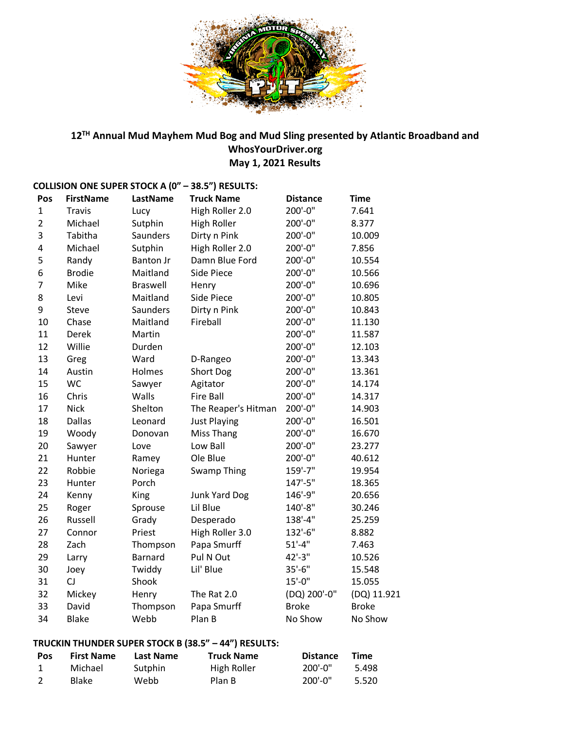

# **12TH Annual Mud Mayhem Mud Bog and Mud Sling presented by Atlantic Broadband and WhosYourDriver.org May 1, 2021 Results**

| Pos            | <b>FirstName</b> | <b>LastName</b>  | <b>Truck Name</b>   | <b>Distance</b> | <b>Time</b>  |
|----------------|------------------|------------------|---------------------|-----------------|--------------|
| $\mathbf 1$    | <b>Travis</b>    | Lucy             | High Roller 2.0     | 200'-0"         | 7.641        |
| $\overline{2}$ | Michael          | Sutphin          | <b>High Roller</b>  | 200'-0"         | 8.377        |
| 3              | Tabitha          | Saunders         | Dirty n Pink        | 200'-0"         | 10.009       |
| 4              | Michael          | Sutphin          | High Roller 2.0     | 200'-0"         | 7.856        |
| 5              | Randy            | <b>Banton Jr</b> | Damn Blue Ford      | 200'-0"         | 10.554       |
| 6              | <b>Brodie</b>    | Maitland         | Side Piece          | 200'-0"         | 10.566       |
| $\overline{7}$ | Mike             | <b>Braswell</b>  | Henry               | 200'-0"         | 10.696       |
| 8              | Levi             | Maitland         | Side Piece          | 200'-0"         | 10.805       |
| 9              | <b>Steve</b>     | Saunders         | Dirty n Pink        | 200'-0"         | 10.843       |
| 10             | Chase            | Maitland         | Fireball            | 200'-0"         | 11.130       |
| 11             | Derek            | Martin           |                     | 200'-0"         | 11.587       |
| 12             | Willie           | Durden           |                     | 200'-0"         | 12.103       |
| 13             | Greg             | Ward             | D-Rangeo            | 200'-0"         | 13.343       |
| 14             | Austin           | Holmes           | Short Dog           | 200'-0"         | 13.361       |
| 15             | <b>WC</b>        | Sawyer           | Agitator            | 200'-0"         | 14.174       |
| 16             | Chris            | Walls            | <b>Fire Ball</b>    | 200'-0"         | 14.317       |
| 17             | <b>Nick</b>      | Shelton          | The Reaper's Hitman | 200'-0"         | 14.903       |
| 18             | <b>Dallas</b>    | Leonard          | <b>Just Playing</b> | 200'-0"         | 16.501       |
| 19             | Woody            | Donovan          | Miss Thang          | 200'-0"         | 16.670       |
| 20             | Sawyer           | Love             | Low Ball            | 200'-0"         | 23.277       |
| 21             | Hunter           | Ramey            | Ole Blue            | 200'-0"         | 40.612       |
| 22             | Robbie           | Noriega          | <b>Swamp Thing</b>  | 159'-7"         | 19.954       |
| 23             | Hunter           | Porch            |                     | 147'-5"         | 18.365       |
| 24             | Kenny            | King             | Junk Yard Dog       | 146'-9"         | 20.656       |
| 25             | Roger            | Sprouse          | Lil Blue            | 140'-8"         | 30.246       |
| 26             | Russell          | Grady            | Desperado           | 138'-4"         | 25.259       |
| 27             | Connor           | Priest           | High Roller 3.0     | 132'-6"         | 8.882        |
| 28             | Zach             | Thompson         | Papa Smurff         | $51'-4"$        | 7.463        |
| 29             | Larry            | Barnard          | Pul N Out           | 42'-3"          | 10.526       |
| 30             | Joey             | Twiddy           | Lil' Blue           | $35'-6''$       | 15.548       |
| 31             | <b>CJ</b>        | Shook            |                     | $15'-0''$       | 15.055       |
| 32             | Mickey           | Henry            | The Rat 2.0         | (DQ) 200'-0"    | (DQ) 11.921  |
| 33             | David            | Thompson         | Papa Smurff         | <b>Broke</b>    | <b>Broke</b> |
| 34             | <b>Blake</b>     | Webb             | Plan B              | No Show         | No Show      |

# **COLLISION ONE SUPER STOCK A (0" – 38.5") RESULTS:**

# **TRUCKIN THUNDER SUPER STOCK B (38.5" – 44") RESULTS:**

| <b>Pos</b> | <b>First Name</b> | Last Name | <b>Truck Name</b> | <b>Distance</b> | <b>Time</b> |
|------------|-------------------|-----------|-------------------|-----------------|-------------|
|            | Michael           | Sutphin   | High Roller       | $200'$ -0"      | 5.498       |
|            | <b>Blake</b>      | Webb      | Plan B            | 200'-0"         | 5.520       |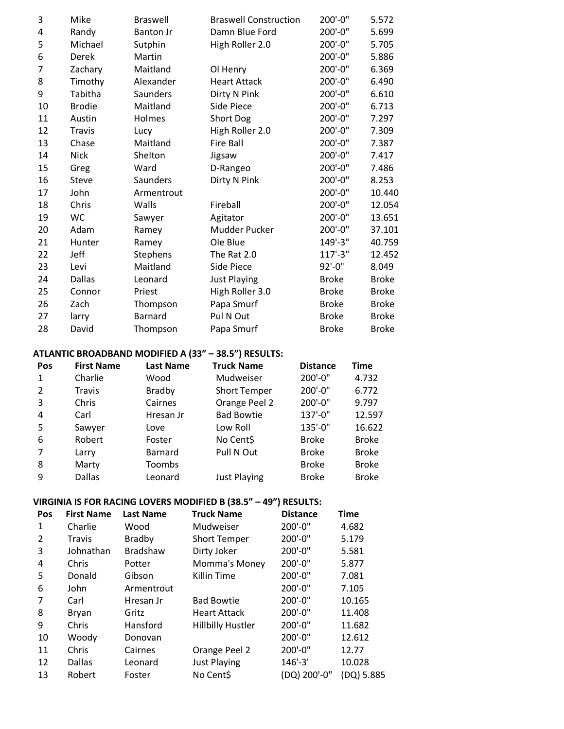| 3              | Mike          | <b>Braswell</b>  | <b>Braswell Construction</b> | 200'-0"      | 5.572        |
|----------------|---------------|------------------|------------------------------|--------------|--------------|
| 4              | Randy         | <b>Banton Jr</b> | Damn Blue Ford               | 200'-0"      | 5.699        |
| 5              | Michael       | Sutphin          | High Roller 2.0              | 200'-0"      | 5.705        |
| 6              | Derek         | Martin           |                              | 200'-0"      | 5.886        |
| $\overline{7}$ | Zachary       | Maitland         | Ol Henry                     | 200'-0"      | 6.369        |
| 8              | Timothy       | Alexander        | <b>Heart Attack</b>          | 200'-0"      | 6.490        |
| 9              | Tabitha       | Saunders         | Dirty N Pink                 | 200'-0"      | 6.610        |
| 10             | <b>Brodie</b> | Maitland         | Side Piece                   | 200'-0"      | 6.713        |
| 11             | Austin        | Holmes           | Short Dog                    | 200'-0"      | 7.297        |
| 12             | <b>Travis</b> | Lucy             | High Roller 2.0              | 200'-0"      | 7.309        |
| 13             | Chase         | Maitland         | <b>Fire Ball</b>             | 200'-0"      | 7.387        |
| 14             | <b>Nick</b>   | Shelton          | Jigsaw                       | 200'-0"      | 7.417        |
| 15             | Greg          | Ward             | D-Rangeo                     | 200'-0"      | 7.486        |
| 16             | <b>Steve</b>  | Saunders         | Dirty N Pink                 | 200'-0"      | 8.253        |
| 17             | John          | Armentrout       |                              | 200'-0"      | 10.440       |
| 18             | Chris         | Walls            | Fireball                     | 200'-0"      | 12.054       |
| 19             | WC            | Sawyer           | Agitator                     | 200'-0"      | 13.651       |
| 20             | Adam          | Ramey            | Mudder Pucker                | 200'-0"      | 37.101       |
| 21             | Hunter        | Ramey            | Ole Blue                     | 149'-3"      | 40.759       |
| 22             | Jeff          | Stephens         | The Rat 2.0                  | $117' - 3''$ | 12.452       |
| 23             | Levi          | Maitland         | Side Piece                   | 92'-0"       | 8.049        |
| 24             | <b>Dallas</b> | Leonard          | <b>Just Playing</b>          | <b>Broke</b> | <b>Broke</b> |
| 25             | Connor        | Priest           | High Roller 3.0              | <b>Broke</b> | <b>Broke</b> |
| 26             | Zach          | Thompson         | Papa Smurf                   | <b>Broke</b> | <b>Broke</b> |
| 27             | larry         | Barnard          | Pul N Out                    | <b>Broke</b> | <b>Broke</b> |
| 28             | David         | Thompson         | Papa Smurf                   | <b>Broke</b> | <b>Broke</b> |

## **ATLANTIC BROADBAND MODIFIED A (33" – 38.5") RESULTS:**

| Pos           | <b>First Name</b> | <b>Last Name</b> | <b>Truck Name</b>   | <b>Distance</b> | Time         |
|---------------|-------------------|------------------|---------------------|-----------------|--------------|
| 1             | Charlie           | Wood             | Mudweiser           | 200'-0"         | 4.732        |
| $\mathcal{P}$ | Travis            | <b>Bradby</b>    | <b>Short Temper</b> | 200'-0"         | 6.772        |
| 3             | Chris             | Cairnes          | Orange Peel 2       | 200'-0"         | 9.797        |
| 4             | Carl              | Hresan Jr        | <b>Bad Bowtie</b>   | 137'-0"         | 12.597       |
| 5             | Sawyer            | Love             | Low Roll            | 135'-0"         | 16.622       |
| 6             | Robert            | Foster           | No Cent\$           | <b>Broke</b>    | <b>Broke</b> |
| 7             | Larry             | Barnard          | Pull N Out          | <b>Broke</b>    | <b>Broke</b> |
| 8             | Marty             | Toombs           |                     | <b>Broke</b>    | <b>Broke</b> |
| 9             | Dallas            | Leonard          | <b>Just Playing</b> | <b>Broke</b>    | <b>Broke</b> |

#### **VIRGINIA IS FOR RACING LOVERS MODIFIED B (38.5" – 49") RESULTS:**

| Pos | <b>First Name</b> | <b>Last Name</b> | <b>Truck Name</b>        | <b>Distance</b> | <b>Time</b> |
|-----|-------------------|------------------|--------------------------|-----------------|-------------|
| 1   | Charlie           | Wood             | Mudweiser                | 200'-0"         | 4.682       |
| 2   | <b>Travis</b>     | <b>Bradby</b>    | <b>Short Temper</b>      | 200'-0"         | 5.179       |
| 3   | Johnathan         | <b>Bradshaw</b>  | Dirty Joker              | 200'-0"         | 5.581       |
| 4   | Chris             | Potter           | Momma's Money            | 200'-0"         | 5.877       |
| 5   | Donald            | Gibson           | Killin Time              | 200'-0"         | 7.081       |
| 6   | John              | Armentrout       |                          | 200'-0"         | 7.105       |
| 7   | Carl              | Hresan Jr        | <b>Bad Bowtie</b>        | 200'-0"         | 10.165      |
| 8   | Bryan             | Gritz            | <b>Heart Attack</b>      | $200' - 0''$    | 11.408      |
| 9   | Chris             | Hansford         | <b>Hillbilly Hustler</b> | 200'-0"         | 11.682      |
| 10  | Woody             | Donovan          |                          | 200'-0"         | 12.612      |
| 11  | Chris             | Cairnes          | Orange Peel 2            | $200' - 0''$    | 12.77       |
| 12  | Dallas            | Leonard          | <b>Just Playing</b>      | $146' - 3'$     | 10.028      |
| 13  | Robert            | Foster           | No Cent\$                | (DQ) 200'-0"    | (DQ) 5.885  |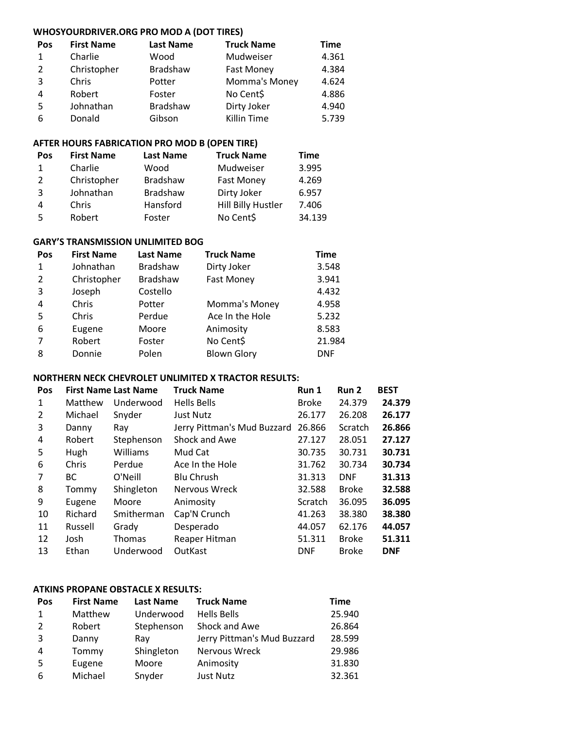# **WHOSYOURDRIVER.ORG PRO MOD A (DOT TIRES)**

| Pos            | <b>First Name</b> | <b>Last Name</b> | <b>Truck Name</b>  | <b>Time</b> |
|----------------|-------------------|------------------|--------------------|-------------|
| 1              | Charlie           | Wood             | Mudweiser          | 4.361       |
| 2              | Christopher       | Bradshaw         | <b>Fast Money</b>  | 4.384       |
| 3              | Chris             | Potter           | Momma's Money      | 4.624       |
| $\overline{4}$ | Robert            | Foster           | No Cent\$          | 4.886       |
| -5             | Johnathan         | <b>Bradshaw</b>  | Dirty Joker        | 4.940       |
| 6              | Donald            | Gibson           | <b>Killin Time</b> | 5.739       |

## **AFTER HOURS FABRICATION PRO MOD B (OPEN TIRE)**

| Pos           | <b>First Name</b> | <b>Last Name</b> | <b>Truck Name</b>         | <b>Time</b> |
|---------------|-------------------|------------------|---------------------------|-------------|
| 1             | Charlie           | Wood             | Mudweiser                 | 3.995       |
| $\mathcal{L}$ | Christopher       | <b>Bradshaw</b>  | <b>Fast Money</b>         | 4.269       |
| 3             | Johnathan         | <b>Bradshaw</b>  | Dirty Joker               | 6.957       |
| 4             | Chris             | Hansford         | <b>Hill Billy Hustler</b> | 7.406       |
| 5             | Robert            | Foster           | No Cent\$                 | 34.139      |

#### **GARY'S TRANSMISSION UNLIMITED BOG**

| Pos | <b>First Name</b> | <b>Last Name</b> | <b>Truck Name</b>  | <b>Time</b> |
|-----|-------------------|------------------|--------------------|-------------|
| 1   | Johnathan         | <b>Bradshaw</b>  | Dirty Joker        | 3.548       |
| 2   | Christopher       | <b>Bradshaw</b>  | <b>Fast Money</b>  | 3.941       |
| 3   | Joseph            | Costello         |                    | 4.432       |
| 4   | Chris             | Potter           | Momma's Money      | 4.958       |
| 5   | Chris             | Perdue           | Ace In the Hole    | 5.232       |
| 6   | Eugene            | Moore            | Animosity          | 8.583       |
| 7   | Robert            | Foster           | No Cent\$          | 21.984      |
| 8   | Donnie            | Polen            | <b>Blown Glory</b> | <b>DNF</b>  |

#### **NORTHERN NECK CHEVROLET UNLIMITED X TRACTOR RESULTS:**

| Pos            | <b>First Name Last Name</b> |               | <b>Truck Name</b>           | Run 1          | Run 2          | <b>BEST</b> |
|----------------|-----------------------------|---------------|-----------------------------|----------------|----------------|-------------|
| 1              | Matthew                     | Underwood     | <b>Hells Bells</b>          | <b>Broke</b>   | 24.379         | 24.379      |
| $\overline{2}$ | Michael                     | Snyder        | <b>Just Nutz</b>            | 26.177         | 26.208         | 26.177      |
| 3              | Danny                       | Ray           | Jerry Pittman's Mud Buzzard | 26.866         | <b>Scratch</b> | 26.866      |
| 4              | Robert                      | Stephenson    | Shock and Awe               | 27.127         | 28.051         | 27.127      |
| 5              | Hugh                        | Williams      | Mud Cat                     | 30.735         | 30.731         | 30.731      |
| 6              | Chris                       | Perdue        | Ace In the Hole             | 31.762         | 30.734         | 30.734      |
| 7              | BC.                         | O'Neill       | <b>Blu Chrush</b>           | 31.313         | <b>DNF</b>     | 31.313      |
| 8              | Tommy                       | Shingleton    | Nervous Wreck               | 32.588         | <b>Broke</b>   | 32.588      |
| 9              | Eugene                      | Moore         | Animosity                   | <b>Scratch</b> | 36.095         | 36.095      |
| 10             | Richard                     | Smitherman    | Cap'N Crunch                | 41.263         | 38.380         | 38.380      |
| 11             | Russell                     | Grady         | Desperado                   | 44.057         | 62.176         | 44.057      |
| 12             | Josh                        | <b>Thomas</b> | Reaper Hitman               | 51.311         | <b>Broke</b>   | 51.311      |
| 13             | Ethan                       | Underwood     | OutKast                     | <b>DNF</b>     | <b>Broke</b>   | <b>DNF</b>  |

#### **ATKINS PROPANE OBSTACLE X RESULTS:**

| <b>Pos</b>     | <b>First Name</b> | <b>Last Name</b> | <b>Truck Name</b>           | <b>Time</b> |
|----------------|-------------------|------------------|-----------------------------|-------------|
| 1              | Matthew           | Underwood        | <b>Hells Bells</b>          | 25.940      |
| $\overline{2}$ | Robert            | Stephenson       | Shock and Awe               | 26.864      |
| 3              | Danny             | Ray              | Jerry Pittman's Mud Buzzard | 28.599      |
| 4              | Tommy             | Shingleton       | Nervous Wreck               | 29.986      |
| 5              | Eugene            | Moore            | Animosity                   | 31.830      |
| 6              | Michael           | Snyder           | Just Nutz                   | 32.361      |